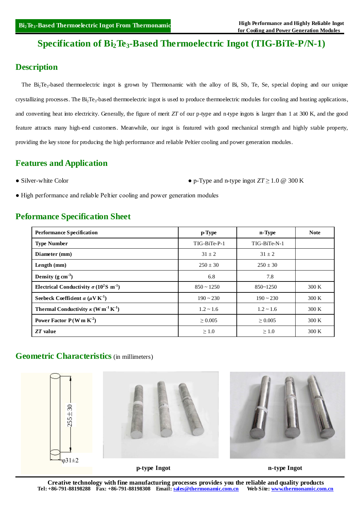# **Specification of Bi2Te3-Based Thermoelectric Ingot (TIG-BiTe-P/N-1)**

# **Description**

The Bi<sub>2</sub>Te<sub>3</sub>-based thermoelectric ingot is grown by Thermonamic with the alloy of Bi, Sb, Te, Se, special doping and our unique crystallizing processes. The  $Bi_2Te_3-b$  ased thermoelectric ingot is used to produce thermoelectric modules for cooling and heating applications, and converting heat into electricity. Generally, the figure of merit *ZT* of our p-type and n-type ingots is larger than 1 at 300 K, and the good feature attracts many high-end customers. Meanwhile, our ingot is featured with good mechanical strength and highly stable property, providing the key stone for producing the high performance and reliable Peltier cooling and power generation modules.

## **Features and Application**

• Silver-white Color **•** p-Type and n-type ingot  $ZT \ge 1.0 \text{ } @.300 \text{ K}$ 

● High performance and reliable Peltier cooling and power generation modules

### **Peformance Specification Sheet**

| <b>Performance Specification</b>                                          | p-Type            | n-Type         | <b>Note</b> |
|---------------------------------------------------------------------------|-------------------|----------------|-------------|
| <b>Type Number</b>                                                        | TIG-BiTe-P-1      | TIG-BiTe-N-1   |             |
| Diameter (mm)                                                             | $31 \pm 2$        | $31 + 2$       |             |
| Length $(mm)$                                                             | $250 \pm 30$      | $250 \pm 30$   |             |
| Density $(g \text{ cm}^{-3})$                                             | 6.8               | 7.8            |             |
| Electrical Conductivity $\sigma (10^2 S \text{ m}^{-1})$                  | $850 \sim 1250$   | $850 - 1250$   | 300 K       |
| Seebeck Coefficient $\alpha$ ( $\mu$ V K <sup>-1</sup> )                  | $190 \sim 230$    | $190 \sim 230$ | 300 K       |
| <b>Thermal Conductivity</b> $\kappa$ (W m <sup>-1</sup> K <sup>-1</sup> ) | $1.2 \approx 1.6$ | $1.2 \sim 1.6$ | 300 K       |
| Power Factor $P(Wm K2)$                                                   | > 0.005           | > 0.005        | 300 K       |
| ZT value                                                                  | $\geq 1.0$        | $\geq 1.0$     | 300 K       |

### **Geometric Characteristics** (in millimeters)